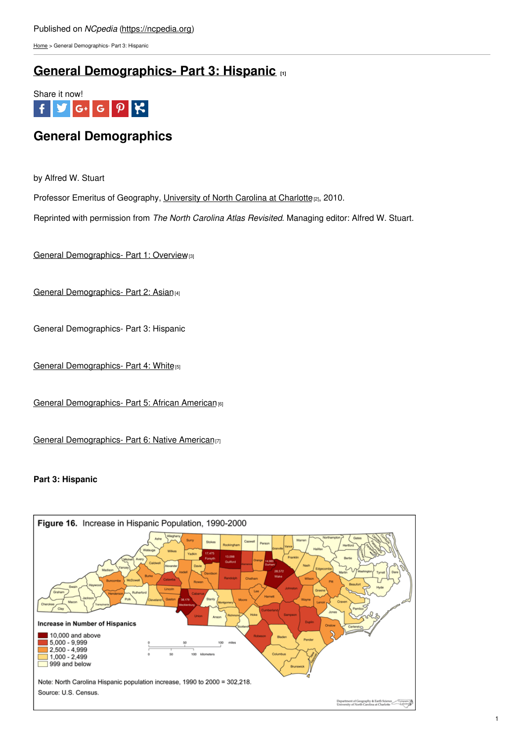[Home](https://ncpedia.org/) > General Demographics- Part 3: Hispanic

## **General [Demographics-](https://ncpedia.org/general-demographics-part-3) Part 3: Hispanic [1]**



## **General Demographics**

by Alfred W. Stuart

Professor Emeritus of Geography, [University](https://geoearth.charlotte.edu/) of North Carolina at Charlotte<sub>[2]</sub>, 2010.

Reprinted with permission from *The North Carolina Atlas Revisited*. Managing editor: Alfred W. Stuart.

General [Demographics-](https://ncpedia.org/general-demographics-part-1) Part 1: Overview<sup>[3]</sup>

General [Demographics-](https://ncpedia.org/general-demographics-part-2-asian) Part 2: Asian(4)

General Demographics- Part 3: Hispanic

General [Demographics-](https://ncpedia.org/general-demographics-part-4-white) Part 4: White<sup>[5]</sup>

General [Demographics-](https://ncpedia.org/general-demographics-part-5-african) Part 5: African American<sup>[6]</sup>

General [Demographics-](https://ncpedia.org/general-demographics-part-6-native) Part 6: Native American<sub>[7]</sub>

## **Part 3: Hispanic**

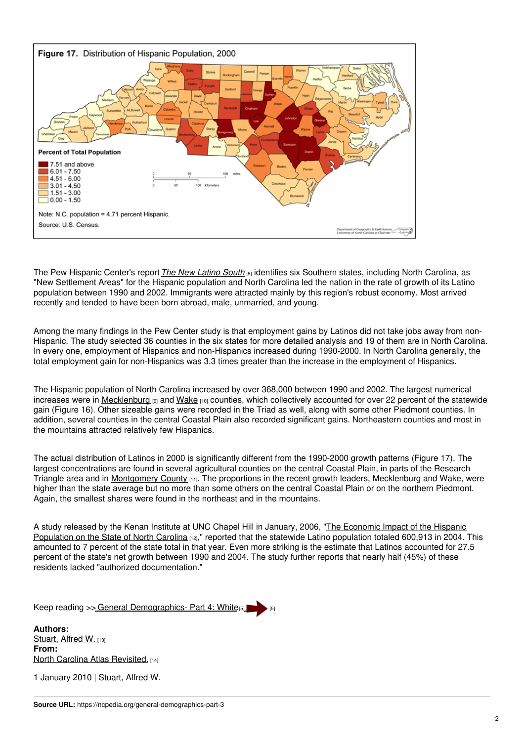

The Pew Hispanic Center's report *The New [Latino](https://www.pewresearch.org/hispanic/2005/06/14/unauthorized-migrants/) South* [8] identifies six Southern states, including North Carolina, as "New Settlement Areas" for the Hispanic population and North Carolina led the nation in the rate of growth of its Latino population between 1990 and 2002. Immigrants were attracted mainly by this region's robust economy. Most arrived recently and tended to have been born abroad, male, unmarried, and young.

Among the many findings in the Pew Center study is that employment gains by Latinos did not take jobs away from non-Hispanic. The study selected 36 counties in the six states for more detailed analysis and 19 of them are in North Carolina. In every one, employment of Hispanics and non-Hispanics increased during 1990-2000. In North Carolina generally, the total employment gain for non-Hispanics was 3.3 times greater than the increase in the employment of Hispanics.

The Hispanic population of North Carolina increased by over 368,000 between 1990 and 2002. The largest numerical increases were in [Mecklenburg](https://ncpedia.org/geography/mecklenburg) [9] and [Wake](https://ncpedia.org/geography/wake) [10] counties, which collectively accounted for over 22 percent of the statewide gain (Figure 16). Other sizeable gains were recorded in the Triad as well, along with some other Piedmont counties. In addition, several counties in the central Coastal Plain also recorded significant gains. Northeastern counties and most in the mountains attracted relatively few Hispanics.

The actual distribution of Latinos in 2000 is significantly different from the 1990-2000 growth patterns (Figure 17). The largest concentrations are found in several agricultural counties on the central Coastal Plain, in parts of the Research Triangle area and in [Montgomery](https://ncpedia.org/geography/montgomery) County [11]. The proportions in the recent growth leaders, Mecklenburg and Wake, were higher than the state average but no more than some others on the central Coastal Plain or on the northern Piedmont. Again, the smallest shares were found in the northeast and in the mountains.

A study released by the Kenan Institute at UNC Chapel Hill in January, 2006, "The Economic Impact of the Hispanic [Population](https://www.kenan-flagler.unc.edu/faculty/institutes-centers/) on the State of North Carolina [12]," reported that the statewide Latino population totaled 600,913 in 2004. This amounted to 7 percent of the state total in that year. Even more striking is the estimate that Latinos accounted for 27.5 percent of the state's net growth between 1990 and 2004. The study further reports that nearly half (45%) of these residents lacked "authorized documentation."

Keep reading >> General [Demographics-](https://ncpedia.org/general-demographics-part-4-white) Part 4: White[5]

**Authors:** [Stuart,](https://ncpedia.org/category/authors/stuart-alfred-w) Alfred W. [13] **From:** North Carolina Atlas [Revisited.](https://ncpedia.org/category/entry-source/north-carolin) [14]

1 January 2010 | Stuart, Alfred W.